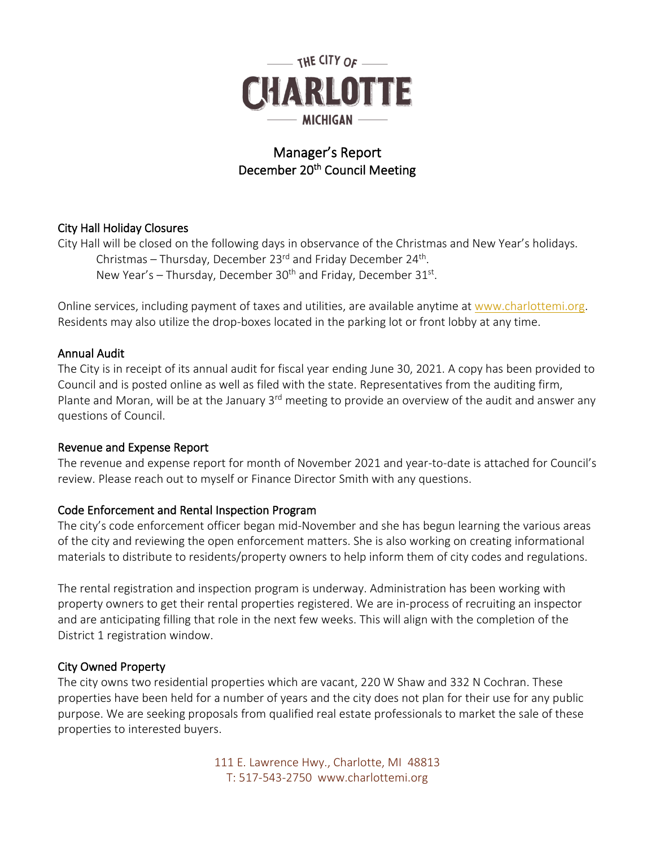

# Manager's Report December 20<sup>th</sup> Council Meeting

# City Hall Holiday Closures

City Hall will be closed on the following days in observance of the Christmas and New Year's holidays. Christmas – Thursday, December 23 $^{rd}$  and Friday December 24<sup>th</sup>. New Year's – Thursday, December  $30<sup>th</sup>$  and Friday, December  $31<sup>st</sup>$ .

Online services, including payment of taxes and utilities, are available anytime at [www.charlottemi.org.](http://www.charlottemi.org/) Residents may also utilize the drop-boxes located in the parking lot or front lobby at any time.

## Annual Audit

The City is in receipt of its annual audit for fiscal year ending June 30, 2021. A copy has been provided to Council and is posted online as well as filed with the state. Representatives from the auditing firm, Plante and Moran, will be at the January  $3<sup>rd</sup>$  meeting to provide an overview of the audit and answer any questions of Council.

#### Revenue and Expense Report

The revenue and expense report for month of November 2021 and year-to-date is attached for Council's review. Please reach out to myself or Finance Director Smith with any questions.

## Code Enforcement and Rental Inspection Program

The city's code enforcement officer began mid-November and she has begun learning the various areas of the city and reviewing the open enforcement matters. She is also working on creating informational materials to distribute to residents/property owners to help inform them of city codes and regulations.

The rental registration and inspection program is underway. Administration has been working with property owners to get their rental properties registered. We are in-process of recruiting an inspector and are anticipating filling that role in the next few weeks. This will align with the completion of the District 1 registration window.

## City Owned Property

The city owns two residential properties which are vacant, 220 W Shaw and 332 N Cochran. These properties have been held for a number of years and the city does not plan for their use for any public purpose. We are seeking proposals from qualified real estate professionals to market the sale of these properties to interested buyers.

> 111 E. Lawrence Hwy., Charlotte, MI 48813 T: 517-543-2750 www.charlottemi.org